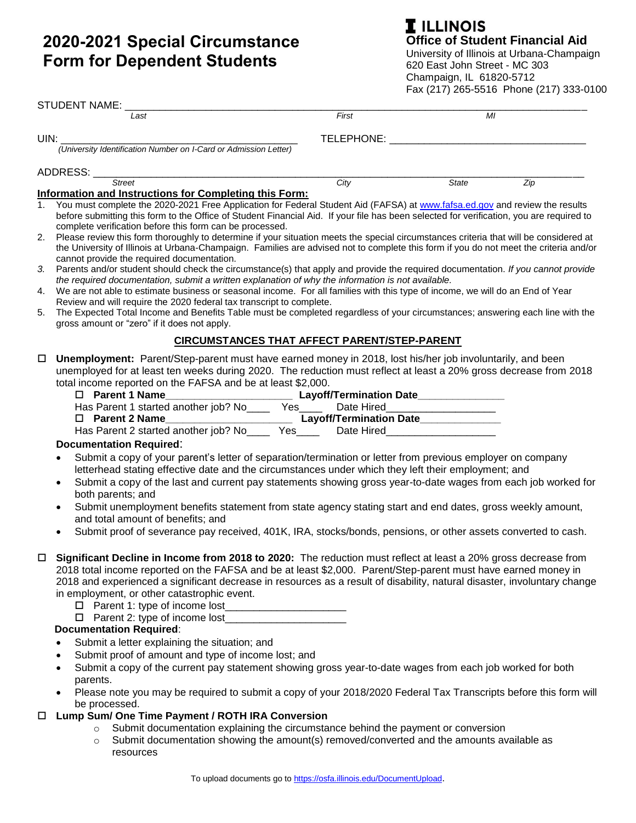# **2020-2021 Special Circumstance Form for Dependent Students**

# **I** ILLINOIS **Office of Student Financial Aid** University of Illinois at Urbana-Champaign

620 East John Street - MC 303 Champaign, IL 61820-5712 Fax (217) 265-5516 Phone (217) 333-0100

|                                       | <b>STUDENT NAME:</b>                                                                                                                                                                                                                                                                                                                                                                                                                                                                                                                                                                                                                                                                                                                                                                                                                                                                                                                                                                                                                                                                                                                                          |                                                     |              |     |  |
|---------------------------------------|---------------------------------------------------------------------------------------------------------------------------------------------------------------------------------------------------------------------------------------------------------------------------------------------------------------------------------------------------------------------------------------------------------------------------------------------------------------------------------------------------------------------------------------------------------------------------------------------------------------------------------------------------------------------------------------------------------------------------------------------------------------------------------------------------------------------------------------------------------------------------------------------------------------------------------------------------------------------------------------------------------------------------------------------------------------------------------------------------------------------------------------------------------------|-----------------------------------------------------|--------------|-----|--|
|                                       | Last                                                                                                                                                                                                                                                                                                                                                                                                                                                                                                                                                                                                                                                                                                                                                                                                                                                                                                                                                                                                                                                                                                                                                          | First                                               | MI           |     |  |
| UIN:                                  |                                                                                                                                                                                                                                                                                                                                                                                                                                                                                                                                                                                                                                                                                                                                                                                                                                                                                                                                                                                                                                                                                                                                                               |                                                     |              |     |  |
|                                       | (University Identification Number on I-Card or Admission Letter)                                                                                                                                                                                                                                                                                                                                                                                                                                                                                                                                                                                                                                                                                                                                                                                                                                                                                                                                                                                                                                                                                              |                                                     |              |     |  |
|                                       | ADDRESS: __________                                                                                                                                                                                                                                                                                                                                                                                                                                                                                                                                                                                                                                                                                                                                                                                                                                                                                                                                                                                                                                                                                                                                           |                                                     |              |     |  |
|                                       | <b>Street</b>                                                                                                                                                                                                                                                                                                                                                                                                                                                                                                                                                                                                                                                                                                                                                                                                                                                                                                                                                                                                                                                                                                                                                 | City                                                | <b>State</b> | Zip |  |
|                                       | Information and Instructions for Completing this Form:                                                                                                                                                                                                                                                                                                                                                                                                                                                                                                                                                                                                                                                                                                                                                                                                                                                                                                                                                                                                                                                                                                        |                                                     |              |     |  |
| 1 <sub>1</sub>                        | You must complete the 2020-2021 Free Application for Federal Student Aid (FAFSA) at www.fafsa.ed.gov and review the results<br>before submitting this form to the Office of Student Financial Aid. If your file has been selected for verification, you are required to<br>complete verification before this form can be processed.                                                                                                                                                                                                                                                                                                                                                                                                                                                                                                                                                                                                                                                                                                                                                                                                                           |                                                     |              |     |  |
| 2.                                    | Please review this form thoroughly to determine if your situation meets the special circumstances criteria that will be considered at<br>the University of Illinois at Urbana-Champaign. Families are advised not to complete this form if you do not meet the criteria and/or<br>cannot provide the required documentation.                                                                                                                                                                                                                                                                                                                                                                                                                                                                                                                                                                                                                                                                                                                                                                                                                                  |                                                     |              |     |  |
| 3.                                    | Parents and/or student should check the circumstance(s) that apply and provide the required documentation. If you cannot provide<br>the required documentation, submit a written explanation of why the information is not available.                                                                                                                                                                                                                                                                                                                                                                                                                                                                                                                                                                                                                                                                                                                                                                                                                                                                                                                         |                                                     |              |     |  |
| 4.                                    | We are not able to estimate business or seasonal income. For all families with this type of income, we will do an End of Year                                                                                                                                                                                                                                                                                                                                                                                                                                                                                                                                                                                                                                                                                                                                                                                                                                                                                                                                                                                                                                 |                                                     |              |     |  |
| 5.                                    | Review and will require the 2020 federal tax transcript to complete.<br>The Expected Total Income and Benefits Table must be completed regardless of your circumstances; answering each line with the<br>gross amount or "zero" if it does not apply.                                                                                                                                                                                                                                                                                                                                                                                                                                                                                                                                                                                                                                                                                                                                                                                                                                                                                                         |                                                     |              |     |  |
|                                       |                                                                                                                                                                                                                                                                                                                                                                                                                                                                                                                                                                                                                                                                                                                                                                                                                                                                                                                                                                                                                                                                                                                                                               | <b>CIRCUMSTANCES THAT AFFECT PARENT/STEP-PARENT</b> |              |     |  |
| $\Box$<br>$\bullet$<br>٠<br>$\bullet$ | Unemployment: Parent/Step-parent must have earned money in 2018, lost his/her job involuntarily, and been<br>unemployed for at least ten weeks during 2020. The reduction must reflect at least a 20% gross decrease from 2018<br>total income reported on the FAFSA and be at least \$2,000.<br>Has Parent 1 started another job? No_______ Yes________ Date Hired_______________<br>□ Parent 2 Name<br>Has Parent 2 started another job? No______Yes______Date Hired____________________<br><b>Documentation Required:</b><br>Submit a copy of your parent's letter of separation/termination or letter from previous employer on company<br>letterhead stating effective date and the circumstances under which they left their employment; and<br>Submit a copy of the last and current pay statements showing gross year-to-date wages from each job worked for<br>both parents; and<br>Submit unemployment benefits statement from state agency stating start and end dates, gross weekly amount,<br>and total amount of benefits; and<br>Submit proof of severance pay received, 401K, IRA, stocks/bonds, pensions, or other assets converted to cash. |                                                     |              |     |  |
|                                       | Significant Decline in Income from 2018 to 2020: The reduction must reflect at least a 20% gross decrease from<br>2018 total income reported on the FAFSA and be at least \$2,000. Parent/Step-parent must have earned money in<br>2018 and experienced a significant decrease in resources as a result of disability, natural disaster, involuntary change<br>in employment, or other catastrophic event.<br><b>Documentation Required:</b><br>Submit a letter explaining the situation; and                                                                                                                                                                                                                                                                                                                                                                                                                                                                                                                                                                                                                                                                 |                                                     |              |     |  |
|                                       | Submit proof of amount and type of income lost; and                                                                                                                                                                                                                                                                                                                                                                                                                                                                                                                                                                                                                                                                                                                                                                                                                                                                                                                                                                                                                                                                                                           |                                                     |              |     |  |
| ٠                                     | Submit a copy of the current pay statement showing gross year-to-date wages from each job worked for both                                                                                                                                                                                                                                                                                                                                                                                                                                                                                                                                                                                                                                                                                                                                                                                                                                                                                                                                                                                                                                                     |                                                     |              |     |  |

parents. Please note you may be required to submit a copy of your 2018/2020 Federal Tax Transcripts before this form will be processed.

#### **Lump Sum/ One Time Payment / ROTH IRA Conversion**

- o Submit documentation explaining the circumstance behind the payment or conversion
- o Submit documentation showing the amount(s) removed/converted and the amounts available as resources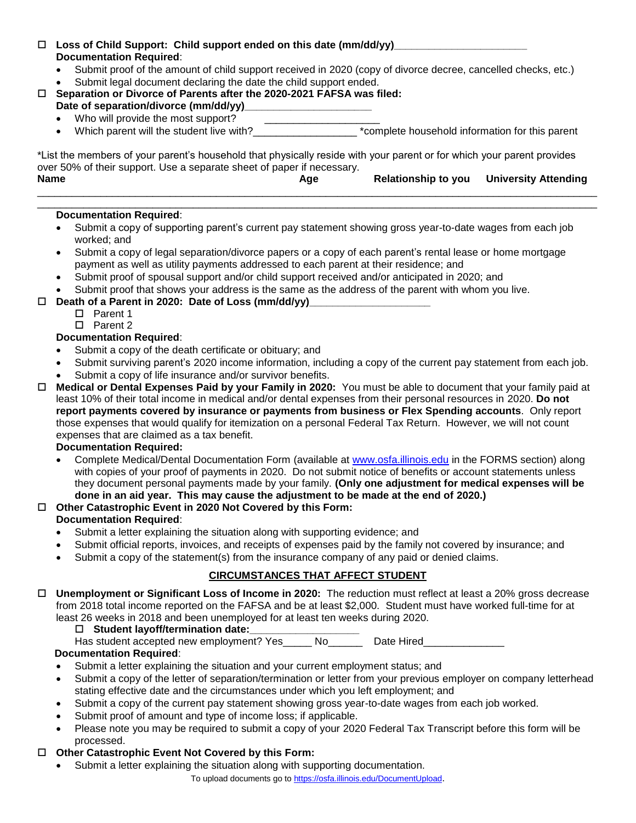## **Loss of Child Support: Child support ended on this date (mm/dd/yy)\_\_\_\_\_\_\_\_\_\_\_\_\_\_\_\_\_\_\_\_\_\_\_ Documentation Required**:

- Submit proof of the amount of child support received in 2020 (copy of divorce decree, cancelled checks, etc.)
- Submit legal document declaring the date the child support ended.
- **Separation or Divorce of Parents after the 2020-2021 FAFSA was filed:** 
	- Date of separation/divorce (mm/dd/yy)
	- Who will provide the most support?<br>Which parent will the student live with?
		- THE STRUMEN PARAGET WILL THE STRUMENT LIVE WITH  $\sim$  \*complete household information for this parent

\*List the members of your parent's household that physically reside with your parent or for which your parent provides over 50% of their support. Use a separate sheet of paper if necessary. **Name Age Relationship to you University Attending**

#### \_\_\_\_\_\_\_\_\_\_\_\_\_\_\_\_\_\_\_\_\_\_\_\_\_\_\_\_\_\_\_\_\_\_\_\_\_\_\_\_\_\_\_\_\_\_\_\_\_\_\_\_\_\_\_\_\_\_\_\_\_\_\_\_\_\_\_\_\_\_\_\_\_\_\_\_\_\_\_\_\_\_\_\_\_\_\_\_\_\_\_\_\_\_\_\_\_ **Documentation Required**:

 Submit a copy of supporting parent's current pay statement showing gross year-to-date wages from each job worked; and

\_\_\_\_\_\_\_\_\_\_\_\_\_\_\_\_\_\_\_\_\_\_\_\_\_\_\_\_\_\_\_\_\_\_\_\_\_\_\_\_\_\_\_\_\_\_\_\_\_\_\_\_\_\_\_\_\_\_\_\_\_\_\_\_\_\_\_\_\_\_\_\_\_\_\_\_\_\_\_\_\_\_\_\_\_\_\_\_\_\_\_\_\_\_\_\_\_

- Submit a copy of legal separation/divorce papers or a copy of each parent's rental lease or home mortgage payment as well as utility payments addressed to each parent at their residence; and
- Submit proof of spousal support and/or child support received and/or anticipated in 2020; and
- Submit proof that shows your address is the same as the address of the parent with whom you live.
- □ Death of a Parent in 2020: Date of Loss (mm/dd/yy)
	- □ Parent 1
	- □ Parent 2

# **Documentation Required**:

- Submit a copy of the death certificate or obituary; and
- Submit surviving parent's 2020 income information, including a copy of the current pay statement from each job.
- Submit a copy of life insurance and/or survivor benefits.
- **Medical or Dental Expenses Paid by your Family in 2020:** You must be able to document that your family paid at least 10% of their total income in medical and/or dental expenses from their personal resources in 2020. **Do not report payments covered by insurance or payments from business or Flex Spending accounts**. Only report those expenses that would qualify for itemization on a personal Federal Tax Return. However, we will not count expenses that are claimed as a tax benefit.

### **Documentation Required:**

 Complete Medical/Dental Documentation Form (available at [www.osfa.illinois.edu](http://www.osfa.illinois.edu/) in the FORMS section) along with copies of your proof of payments in 2020. Do not submit notice of benefits or account statements unless they document personal payments made by your family. **(Only one adjustment for medical expenses will be done in an aid year. This may cause the adjustment to be made at the end of 2020.)**

# **Other Catastrophic Event in 2020 Not Covered by this Form:**

### **Documentation Required**:

- Submit a letter explaining the situation along with supporting evidence; and
- Submit official reports, invoices, and receipts of expenses paid by the family not covered by insurance; and
- Submit a copy of the statement(s) from the insurance company of any paid or denied claims.

# **CIRCUMSTANCES THAT AFFECT STUDENT**

 **Unemployment or Significant Loss of Income in 2020:** The reduction must reflect at least a 20% gross decrease from 2018 total income reported on the FAFSA and be at least \$2,000. Student must have worked full-time for at least 26 weeks in 2018 and been unemployed for at least ten weeks during 2020.

### □ Student layoff/termination date:

Has student accepted new employment? Yes No Late Hired

# **Documentation Required**:

- Submit a letter explaining the situation and your current employment status; and
- Submit a copy of the letter of separation/termination or letter from your previous employer on company letterhead stating effective date and the circumstances under which you left employment; and
- Submit a copy of the current pay statement showing gross year-to-date wages from each job worked.
- Submit proof of amount and type of income loss; if applicable.
- Please note you may be required to submit a copy of your 2020 Federal Tax Transcript before this form will be processed.

# **Other Catastrophic Event Not Covered by this Form:**

Submit a letter explaining the situation along with supporting documentation.

To upload documents go to<https://osfa.illinois.edu/DocumentUpload>.